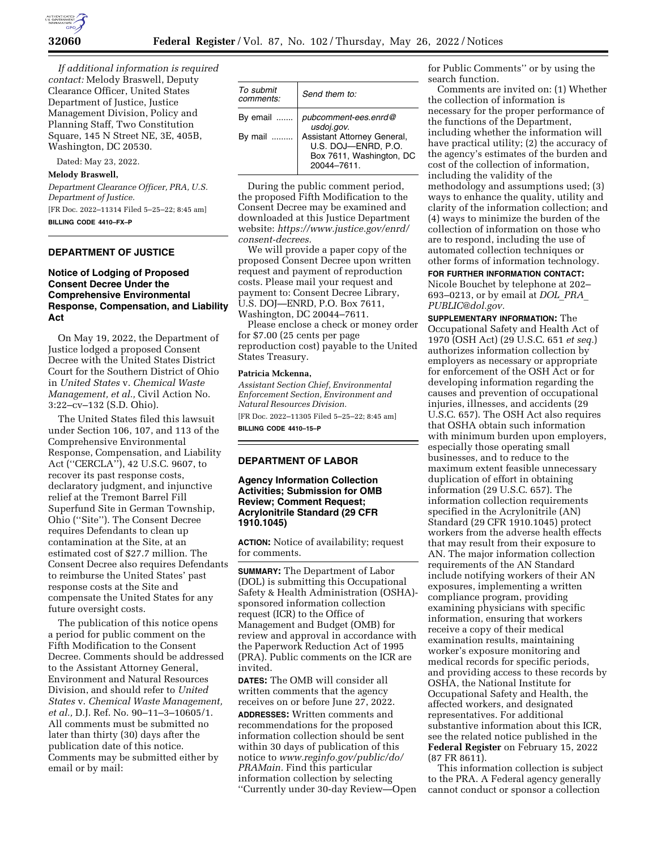

*If additional information is required contact:* Melody Braswell, Deputy Clearance Officer, United States Department of Justice, Justice Management Division, Policy and Planning Staff, Two Constitution Square, 145 N Street NE, 3E, 405B, Washington, DC 20530.

Dated: May 23, 2022.

# **Melody Braswell,**

*Department Clearance Officer, PRA, U.S. Department of Justice.*  [FR Doc. 2022–11314 Filed 5–25–22; 8:45 am]

**BILLING CODE 4410–FX–P** 

# **DEPARTMENT OF JUSTICE**

# **Notice of Lodging of Proposed Consent Decree Under the Comprehensive Environmental Response, Compensation, and Liability Act**

On May 19, 2022, the Department of Justice lodged a proposed Consent Decree with the United States District Court for the Southern District of Ohio in *United States* v. *Chemical Waste Management, et al.,* Civil Action No. 3:22–cv–132 (S.D. Ohio).

The United States filed this lawsuit under Section 106, 107, and 113 of the Comprehensive Environmental Response, Compensation, and Liability Act (''CERCLA''), 42 U.S.C. 9607, to recover its past response costs, declaratory judgment, and injunctive relief at the Tremont Barrel Fill Superfund Site in German Township, Ohio (''Site''). The Consent Decree requires Defendants to clean up contamination at the Site, at an estimated cost of \$27.7 million. The Consent Decree also requires Defendants to reimburse the United States' past response costs at the Site and compensate the United States for any future oversight costs.

The publication of this notice opens a period for public comment on the Fifth Modification to the Consent Decree. Comments should be addressed to the Assistant Attorney General, Environment and Natural Resources Division, and should refer to *United States* v. *Chemical Waste Management, et al.,* D.J. Ref. No. 90–11–3–10605/1. All comments must be submitted no later than thirty (30) days after the publication date of this notice. Comments may be submitted either by email or by mail:

| To submit<br>comments: | Send them to:                                                                                |
|------------------------|----------------------------------------------------------------------------------------------|
| By email               | pubcomment-ees.enrd@<br>usdoj.gov.                                                           |
| By mail                | Assistant Attorney General,<br>U.S. DOJ-ENRD, P.O.<br>Box 7611, Washington, DC<br>20044-7611 |

During the public comment period, the proposed Fifth Modification to the Consent Decree may be examined and downloaded at this Justice Department website: *[https://www.justice.gov/enrd/](https://www.justice.gov/enrd/consent-decrees) [consent-decrees.](https://www.justice.gov/enrd/consent-decrees)* 

We will provide a paper copy of the proposed Consent Decree upon written request and payment of reproduction costs. Please mail your request and payment to: Consent Decree Library, U.S. DOJ—ENRD, P.O. Box 7611, Washington, DC 20044–7611.

Please enclose a check or money order for \$7.00 (25 cents per page reproduction cost) payable to the United States Treasury.

#### **Patricia Mckenna,**

*Assistant Section Chief, Environmental Enforcement Section, Environment and Natural Resources Division.* 

[FR Doc. 2022–11305 Filed 5–25–22; 8:45 am] **BILLING CODE 4410–15–P** 

## **DEPARTMENT OF LABOR**

# **Agency Information Collection Activities; Submission for OMB Review; Comment Request; Acrylonitrile Standard (29 CFR 1910.1045)**

**ACTION:** Notice of availability; request for comments.

**SUMMARY:** The Department of Labor (DOL) is submitting this Occupational Safety & Health Administration (OSHA) sponsored information collection request (ICR) to the Office of Management and Budget (OMB) for review and approval in accordance with the Paperwork Reduction Act of 1995 (PRA). Public comments on the ICR are invited.

**DATES:** The OMB will consider all written comments that the agency receives on or before June 27, 2022. **ADDRESSES:** Written comments and recommendations for the proposed information collection should be sent within 30 days of publication of this notice to *[www.reginfo.gov/public/do/](http://www.reginfo.gov/public/do/PRAMain) [PRAMain.](http://www.reginfo.gov/public/do/PRAMain)* Find this particular information collection by selecting ''Currently under 30-day Review—Open

for Public Comments'' or by using the search function.

Comments are invited on: (1) Whether the collection of information is necessary for the proper performance of the functions of the Department, including whether the information will have practical utility; (2) the accuracy of the agency's estimates of the burden and cost of the collection of information, including the validity of the methodology and assumptions used; (3) ways to enhance the quality, utility and clarity of the information collection; and (4) ways to minimize the burden of the collection of information on those who are to respond, including the use of automated collection techniques or other forms of information technology.

### **FOR FURTHER INFORMATION CONTACT:**

Nicole Bouchet by telephone at 202– 693–0213, or by email at *[DOL](mailto:DOL_PRA_PUBLIC@dol.gov)*\_*PRA*\_ *[PUBLIC@dol.gov.](mailto:DOL_PRA_PUBLIC@dol.gov)* 

**SUPPLEMENTARY INFORMATION:** The Occupational Safety and Health Act of 1970 (OSH Act) (29 U.S.C. 651 *et seq.*) authorizes information collection by employers as necessary or appropriate for enforcement of the OSH Act or for developing information regarding the causes and prevention of occupational injuries, illnesses, and accidents (29 U.S.C. 657). The OSH Act also requires that OSHA obtain such information with minimum burden upon employers, especially those operating small businesses, and to reduce to the maximum extent feasible unnecessary duplication of effort in obtaining information (29 U.S.C. 657). The information collection requirements specified in the Acrylonitrile (AN) Standard (29 CFR 1910.1045) protect workers from the adverse health effects that may result from their exposure to AN. The major information collection requirements of the AN Standard include notifying workers of their AN exposures, implementing a written compliance program, providing examining physicians with specific information, ensuring that workers receive a copy of their medical examination results, maintaining worker's exposure monitoring and medical records for specific periods, and providing access to these records by OSHA, the National Institute for Occupational Safety and Health, the affected workers, and designated representatives. For additional substantive information about this ICR, see the related notice published in the **Federal Register** on February 15, 2022 (87 FR 8611).

This information collection is subject to the PRA. A Federal agency generally cannot conduct or sponsor a collection